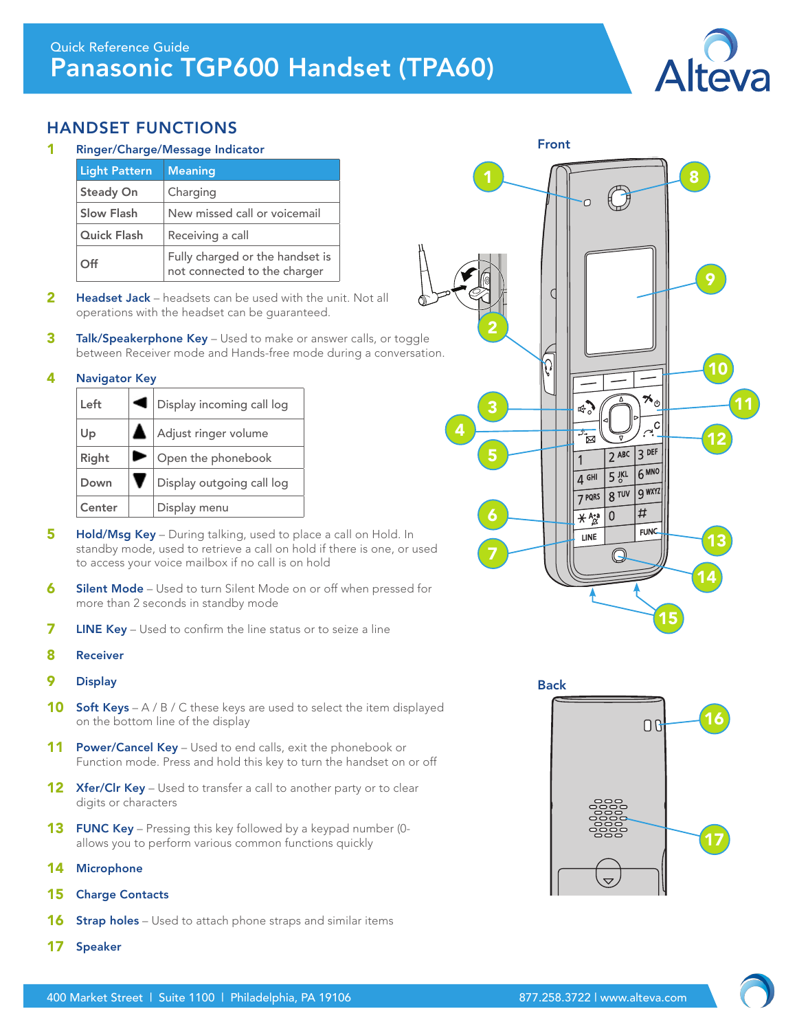

## HANDSET FUNCTIONS

Ringer/Charge/Message Indicator

| <b>Light Pattern</b> | <b>Meaning</b>                                                  |
|----------------------|-----------------------------------------------------------------|
| <b>Steady On</b>     | Charging                                                        |
| <b>Slow Flash</b>    | New missed call or voicemail                                    |
| Quick Flash          | Receiving a call                                                |
| Off                  | Fully charged or the handset is<br>not connected to the charger |

- **2** Headset Jack headsets can be used with the unit. Not all operations with the headset can be guaranteed.
- **3** Talk/Speakerphone Key Used to make or answer calls, or toggle between Receiver mode and Hands-free mode during a conversation.

#### 4 Navigator Key

| Left   | ◀ | Display incoming call log |
|--------|---|---------------------------|
| Up     |   | A Adjust ringer volume    |
| Right  |   | Open the phonebook        |
| Down   |   | Display outgoing call log |
| Center |   | Display menu              |

- **5** Hold/Msg Key During talking, used to place a call on Hold. In standby mode, used to retrieve a call on hold if there is one, or used to access your voice mailbox if no call is on hold
- 6 Silent Mode Used to turn Silent Mode on or off when pressed for more than 2 seconds in standby mode
- 7 LINE Key Used to confirm the line status or to seize a line
- 8 Receiver
- 9 Display
- 10 Soft Keys A / B / C these keys are used to select the item displayed on the bottom line of the display
- 11 Power/Cancel Key Used to end calls, exit the phonebook or Function mode. Press and hold this key to turn the handset on or off
- **12 Xfer/Clr Key** Used to transfer a call to another party or to clear digits or characters
- **13** FUNC Key Pressing this key followed by a keypad number (0allows you to perform various common functions quickly
- 14 Microphone
- 15 Charge Contacts
- 16 Strap holes Used to attach phone straps and similar items
- 17 Speaker



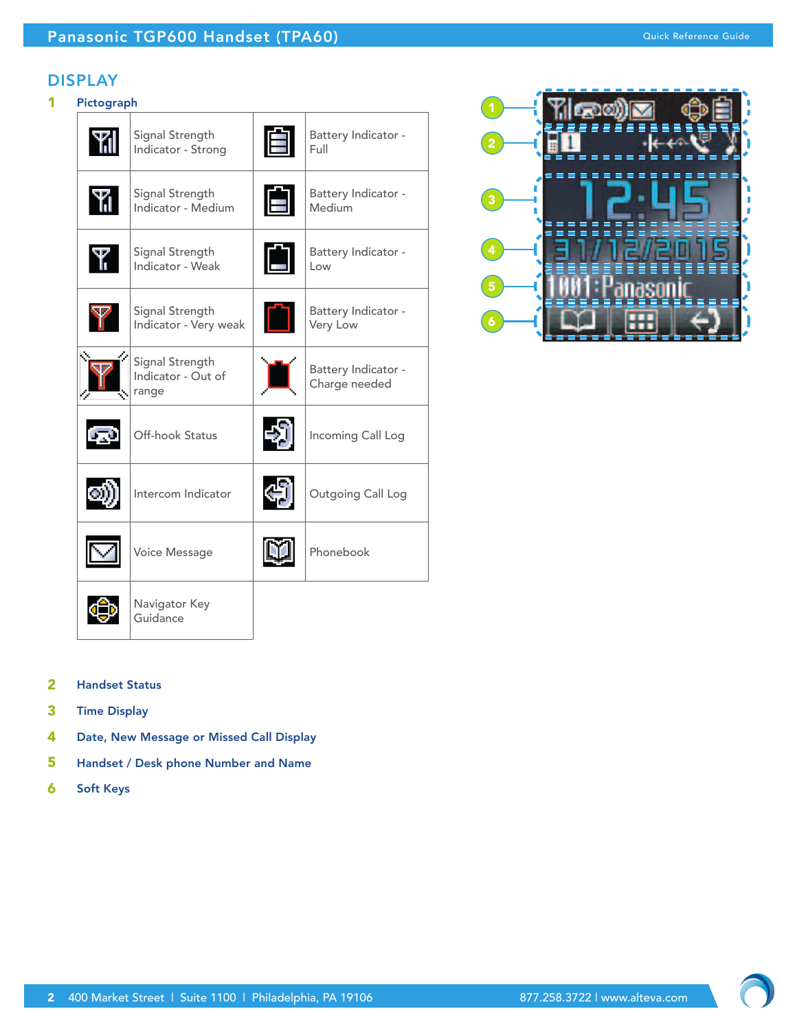### DISPLAY

## 1 Pictograph

| Signal Strength<br>Indicator - Strong          |   | Battery Indicator -<br>Full          |
|------------------------------------------------|---|--------------------------------------|
| Signal Strength<br>Indicator - Medium          | Ħ | Battery Indicator -<br>Medium        |
| Signal Strength<br>Indicator - Weak            | Ĥ | Battery Indicator -<br>Low           |
| Signal Strength<br>Indicator - Very weak       |   | Battery Indicator -<br>Very Low      |
| Signal Strength<br>Indicator - Out of<br>range |   | Battery Indicator -<br>Charge needed |
| Off-hook Status                                |   | Incoming Call Log                    |
| Intercom Indicator                             |   | Outgoing Call Log                    |
| Voice Message                                  |   | Phonebook                            |
| Navigator Key<br>Guidance                      |   |                                      |



- 2 Handset Status
- 3 Time Display
- 4 Date, New Message or Missed Call Display
- 5 Handset / Desk phone Number and Name
- 6 Soft Keys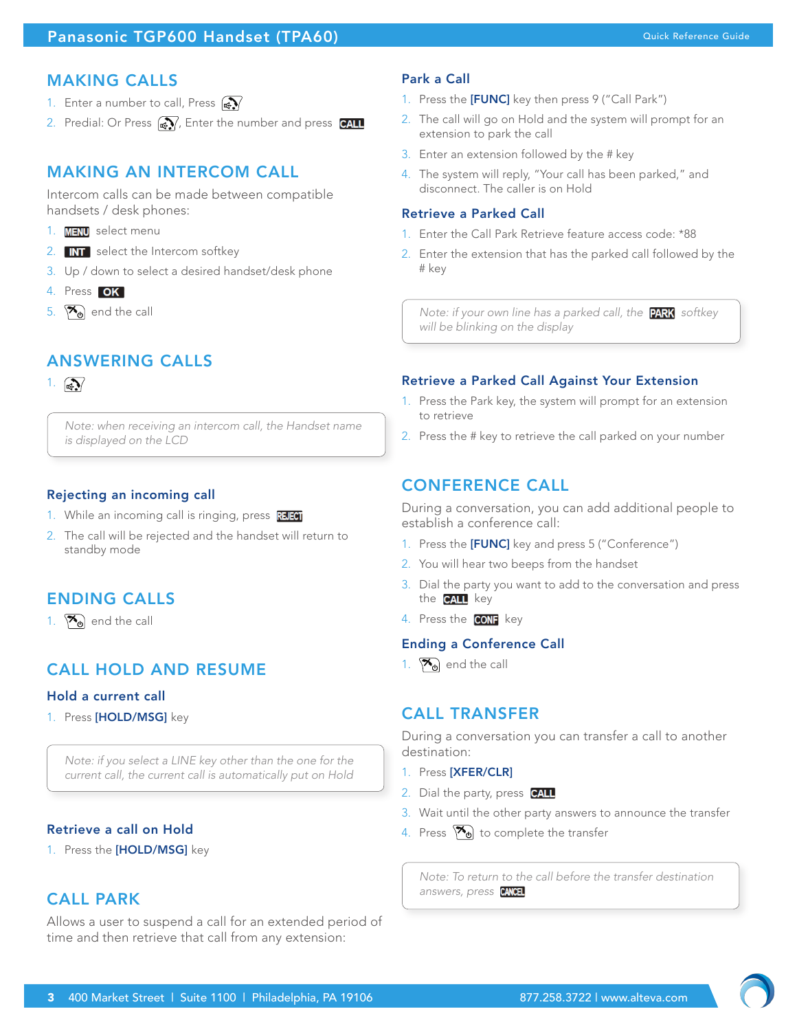## Panasonic TGP600 Handset (TPA60) and the contract of the contract of the contract of the contract of the contract of the contract of the contract of the contract of the contract of the contract of the contract of the contr

## MAKING CALLS

- 1. Enter a number to call, Press  $\mathbb{R}$
- 2. Predial: Or Press  $\mathbb{R}$ , Enter the number and press  $\mathbb{C}$ ALL

# MAKING AN INTERCOM CALL

Intercom calls can be made between compatible handsets / desk phones:

- 1. **MENU** select menu
- 2. select the Intercom softkey
- 3. Up / down to select a desired handset/desk phone
- 4. Press OK
- 5.  $\sqrt{\frac{1}{c}}$  end the call

# ANSWERING CALLS

### 1.  $\mathbb{R}$

*Note: when receiving an intercom call, the Handset name is displayed on the LCD*

### Rejecting an incoming call

- 1. While an incoming call is ringing, press REEO
- 2. The call will be rejected and the handset will return to standby mode

## ENDING CALLS

1.  $\sqrt{\frac{1}{c}}$  end the call

# CALL HOLD AND RESUME

### Hold a current call

1. Press [HOLD/MSG] key

*Note: if you select a LINE key other than the one for the current call, the current call is automatically put on Hold*

### Retrieve a call on Hold

1. Press the [HOLD/MSG] key

## CALL PARK

Allows a user to suspend a call for an extended period of time and then retrieve that call from any extension:

### Park a Call

- 1. Press the [FUNC] key then press 9 ("Call Park")
- 2. The call will go on Hold and the system will prompt for an extension to park the call
- 3. Enter an extension followed by the # key
- 4. The system will reply, "Your call has been parked," and disconnect. The caller is on Hold

### Retrieve a Parked Call

- 1. Enter the Call Park Retrieve feature access code: \*88
- 2. Enter the extension that has the parked call followed by the # key

*Note: if your own line has a parked call, the PARK softkey will be blinking on the display*

### Retrieve a Parked Call Against Your Extension

- 1. Press the Park key, the system will prompt for an extension to retrieve
- 2. Press the # key to retrieve the call parked on your number

## CONFERENCE CALL

During a conversation, you can add additional people to establish a conference call:

- 1. Press the [FUNC] key and press 5 ("Conference")
- 2. You will hear two beeps from the handset
- 3. Dial the party you want to add to the conversation and press the **CALL** key
- 4. Press the **CONF** key

### Ending a Conference Call

1.  $\mathbb{Z}_{\Theta}$  end the call

## CALL TRANSFER

During a conversation you can transfer a call to another destination:

- 1. Press [XFER/CLR]
- 2. Dial the party, press CALL
- 3. Wait until the other party answers to announce the transfer
- 4. Press  $\mathcal{F}_{\Theta}$  to complete the transfer

*Note: To return to the call before the transfer destination answers, press*